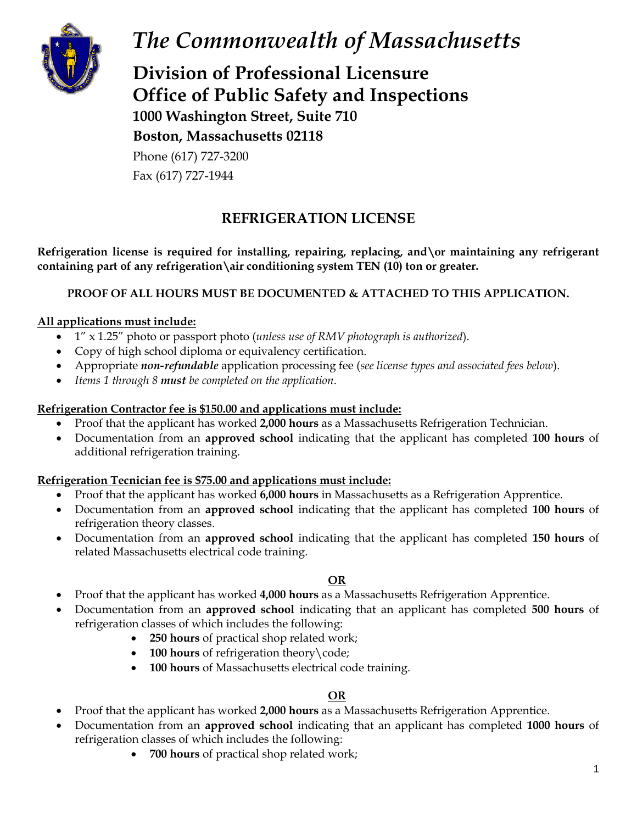

# *The Commonwealth of Massachusetts*

**Division of Professional Licensure Office of Public Safety and Inspections 1000 Washington Street, Suite 710 Boston, Massachusetts 02118**

Phone (617) 727-3200 Fax (617) 727-1944

## **REFRIGERATION LICENSE**

**Refrigeration license is required for installing, repairing, replacing, and\or maintaining any refrigerant containing part of any refrigeration\air conditioning system TEN (10) ton or greater.**

### **PROOF OF ALL HOURS MUST BE DOCUMENTED & ATTACHED TO THIS APPLICATION.**

#### **All applications must include:**

- 1" x 1.25" photo or passport photo (*unless use of RMV photograph is authorized*).
- Copy of high school diploma or equivalency certification.
- Appropriate *non-refundable* application processing fee (*see license types and associated fees below*).
- *Items 1 through 8 must be completed on the application*.

#### **Refrigeration Contractor fee is \$150.00 and applications must include:**

- Proof that the applicant has worked **2,000 hours** as a Massachusetts Refrigeration Technician.
- Documentation from an **approved school** indicating that the applicant has completed **100 hours** of additional refrigeration training.

#### **Refrigeration Tecnician fee is \$75.00 and applications must include:**

- Proof that the applicant has worked **6,000 hours** in Massachusetts as a Refrigeration Apprentice.
- Documentation from an **approved school** indicating that the applicant has completed **100 hours** of refrigeration theory classes.
- Documentation from an **approved school** indicating that the applicant has completed **150 hours** of related Massachusetts electrical code training.

#### **OR**

- Proof that the applicant has worked **4,000 hours** as a Massachusetts Refrigeration Apprentice.
- Documentation from an **approved school** indicating that an applicant has completed **500 hours** of refrigeration classes of which includes the following:
	- **250 hours** of practical shop related work;
	- **100 hours** of refrigeration theory \code;
	- **100 hours** of Massachusetts electrical code training.

#### **OR**

- Proof that the applicant has worked **2,000 hours** as a Massachusetts Refrigeration Apprentice.
- Documentation from an **approved school** indicating that an applicant has completed **1000 hours** of refrigeration classes of which includes the following:
	- **700 hours** of practical shop related work;